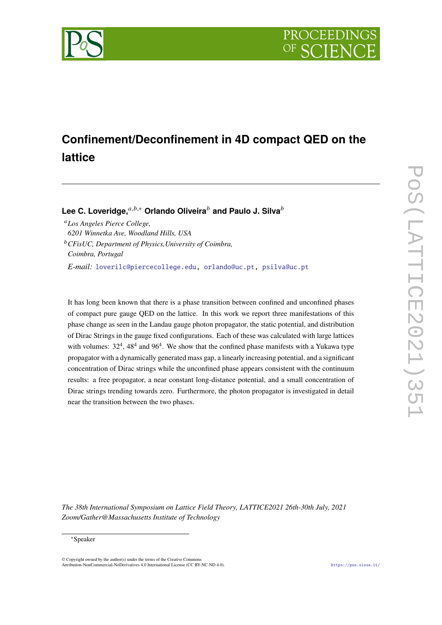



# **Confinement/Deconfinement in 4D compact QED on the lattice**

**Lee C. Loveridge.**<sup>*a,b,∗*</sup> Orlando Oliveira<sup>*b*</sup> and Paulo J. Silva<sup>*b*</sup>

*Los Angeles Pierce College, 6201 Winnetka Ave, Woodland Hills, USA*

*CFisUC, Department of Physics,University of Coimbra, Coimbra, Portugal*

*E-mail:* [loverilc@piercecollege.edu,](mailto:loverilc@piercecollege.edu) [orlando@uc.pt,](mailto:orlando@uc.pt) [psilva@uc.pt](mailto:psilva@uc.pt)

It has long been known that there is a phase transition between confined and unconfined phases of compact pure gauge QED on the lattice. In this work we report three manifestations of this phase change as seen in the Landau gauge photon propagator, the static potential, and distribution of Dirac Strings in the gauge fixed configurations. Each of these was calculated with large lattices with volumes:  $32^4$ ,  $48^4$  and  $96^4$ . We show that the confined phase manifests with a Yukawa type propagator with a dynamically generated mass gap, a linearly increasing potential, and a significant concentration of Dirac strings while the unconfined phase appears consistent with the continuum results: a free propagator, a near constant long-distance potential, and a small concentration of Dirac strings trending towards zero. Furthermore, the photon propagator is investigated in detail near the transition between the two phases.

*The 38th International Symposium on Lattice Field Theory, LATTICE2021 26th-30th July, 2021 Zoom/Gather@Massachusetts Institute of Technology*

#### ∗Speaker

 $\odot$  Copyright owned by the author(s) under the terms of the Creative Common Attribution-NonCommercial-NoDerivatives 4.0 International License (CC BY-NC-ND 4.0). <https://pos.sissa.it/>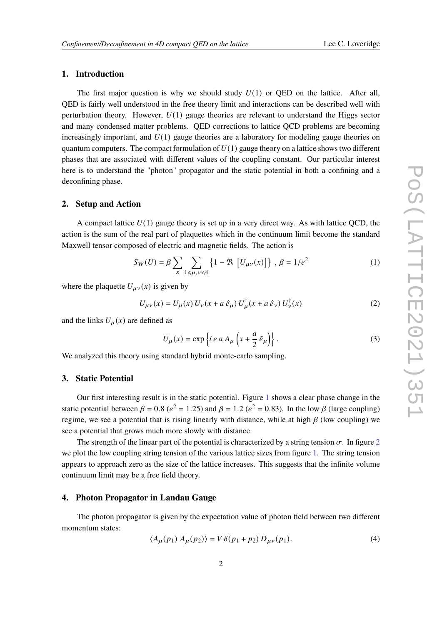# **1. Introduction**

The first major question is why we should study  $U(1)$  or QED on the lattice. After all, QED is fairly well understood in the free theory limit and interactions can be described well with perturbation theory. However,  $U(1)$  gauge theories are relevant to understand the Higgs sector and many condensed matter problems. QED corrections to lattice QCD problems are becoming increasingly important, and  $U(1)$  gauge theories are a laboratory for modeling gauge theories on quantum computers. The compact formulation of  $U(1)$  gauge theory on a lattice shows two different phases that are associated with different values of the coupling constant. Our particular interest here is to understand the "photon" propagator and the static potential in both a confining and a deconfining phase.

#### **2. Setup and Action**

A compact lattice  $U(1)$  gauge theory is set up in a very direct way. As with lattice QCD, the action is the sum of the real part of plaquettes which in the continuum limit become the standard Maxwell tensor composed of electric and magnetic fields. The action is

$$
S_W(U) = \beta \sum_{x} \sum_{1 \le \mu, \nu \le 4} \left\{ 1 - \Re \left[ U_{\mu\nu}(x) \right] \right\}, \ \beta = 1/e^2 \tag{1}
$$

where the plaquette  $U_{\mu\nu}(x)$  is given by

$$
U_{\mu\nu}(x) = U_{\mu}(x) U_{\nu}(x + a \,\hat{e}_{\mu}) U_{\mu}^{\dagger}(x + a \,\hat{e}_{\nu}) U_{\nu}^{\dagger}(x)
$$
 (2)

and the links  $U_u(x)$  are defined as

$$
U_{\mu}(x) = \exp\left\{i e a A_{\mu}\left(x + \frac{a}{2} \hat{e}_{\mu}\right)\right\}.
$$
 (3)

We analyzed this theory using standard hybrid monte-carlo sampling.

### **3. Static Potential**

Our first interesting result is in the static potential. Figure [1](#page-2-0) shows a clear phase change in the static potential between  $\beta = 0.8$  ( $e^2 = 1.25$ ) and  $\beta = 1.2$  ( $e^2 = 0.83$ ). In the low  $\beta$  (large coupling) regime, we see a potential that is rising linearly with distance, while at high  $\beta$  (low coupling) we see a potential that grows much more slowly with distance.

The strength of the linear part of the potential is characterized by a string tension  $\sigma$ . In figure [2](#page-2-1) we plot the low coupling string tension of the various lattice sizes from figure [1.](#page-2-0) The string tension appears to approach zero as the size of the lattice increases. This suggests that the infinite volume continuum limit may be a free field theory.

### **4. Photon Propagator in Landau Gauge**

The photon propagator is given by the expectation value of photon field between two different momentum states:

$$
\langle A_{\mu}(p_1) A_{\mu}(p_2) \rangle = V \delta(p_1 + p_2) D_{\mu\nu}(p_1). \tag{4}
$$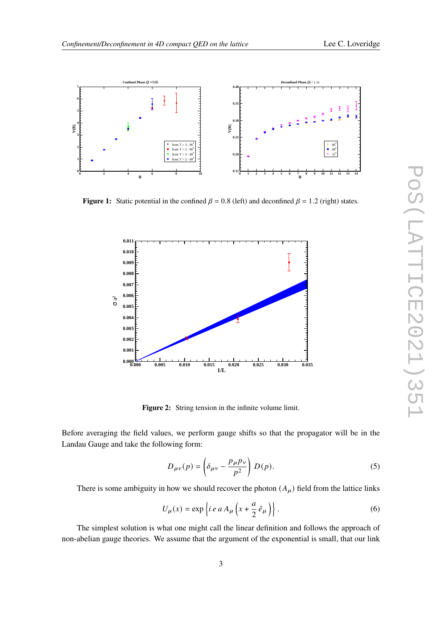<span id="page-2-0"></span>

<span id="page-2-1"></span>**Figure 1:** Static potential in the confined  $\beta = 0.8$  (left) and deconfined  $\beta = 1.2$  (right) states.



**Figure 2:** String tension in the infinite volume limit.

Before averaging the field values, we perform gauge shifts so that the propagator will be in the Landau Gauge and take the following form:

$$
D_{\mu\nu}(p) = \left(\delta_{\mu\nu} - \frac{p_{\mu}p_{\nu}}{p^2}\right)D(p). \tag{5}
$$

There is some ambiguity in how we should recover the photon  $(A_\mu)$  field from the lattice links

$$
U_{\mu}(x) = \exp\left\{ie\ a\ A_{\mu}\left(x + \frac{a}{2}\ \hat{e}_{\mu}\right)\right\}.
$$
 (6)

The simplest solution is what one might call the linear definition and follows the approach of non-abelian gauge theories. We assume that the argument of the exponential is small, that our link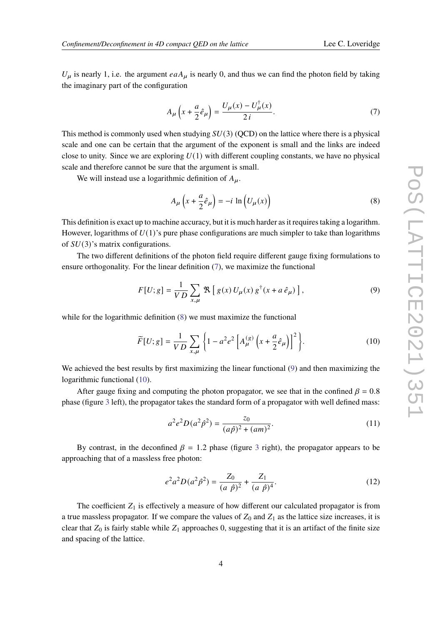$U_{\mu}$  is nearly 1, i.e. the argument  $eaA_{\mu}$  is nearly 0, and thus we can find the photon field by taking the imaginary part of the configuration

<span id="page-3-0"></span>
$$
A_{\mu}\left(x+\frac{a}{2}\hat{e}_{\mu}\right)=\frac{U_{\mu}(x)-U_{\mu}^{\dagger}(x)}{2i}.
$$
 (7)

This method is commonly used when studying  $SU(3)$  (QCD) on the lattice where there is a physical scale and one can be certain that the argument of the exponent is small and the links are indeed close to unity. Since we are exploring  $U(1)$  with different coupling constants, we have no physical scale and therefore cannot be sure that the argument is small.

We will instead use a logarithmic definition of  $A_{\mu}$ .

<span id="page-3-1"></span>
$$
A_{\mu}\left(x+\frac{a}{2}\hat{e}_{\mu}\right)=-i\,\ln\left(U_{\mu}(x)\right)\tag{8}
$$

This definition is exact up to machine accuracy, but it is much harder as it requires taking a logarithm. However, logarithms of  $U(1)$ 's pure phase configurations are much simpler to take than logarithms of  $SU(3)$ 's matrix configurations.

The two different definitions of the photon field require different gauge fixing formulations to ensure orthogonality. For the linear definition ([7](#page-3-0)), we maximize the functional

<span id="page-3-2"></span>
$$
F[U;g] = \frac{1}{VD} \sum_{x,\mu} \mathcal{R} \left[ g(x) U_{\mu}(x) g^{\dagger}(x + a \hat{e}_{\mu}) \right],
$$
 (9)

while for the logarithmic definition  $(8)$  $(8)$  $(8)$  we must maximize the functional

<span id="page-3-3"></span>
$$
\widetilde{F}[U;g] = \frac{1}{VD} \sum_{x,\mu} \left\{ 1 - a^2 e^2 \left[ A_{\mu}^{(g)} \left( x + \frac{a}{2} \hat{e}_{\mu} \right) \right]^2 \right\}.
$$
\n(10)

We achieved the best results by first maximizing the linear functional ([9](#page-3-2)) and then maximizing the logarithmic functional ([10\)](#page-3-3).

After gauge fixing and computing the photon propagator, we see that in the confined  $\beta = 0.8$ phase (figure [3](#page-4-0) left), the propagator takes the standard form of a propagator with well defined mass:

$$
a^2 e^2 D(a^2 \hat{p}^2) = \frac{z_0}{(a\hat{p})^2 + (am)^2}.
$$
 (11)

By contrast, in the deconfined  $\beta = 1.2$  phase (figure [3](#page-4-0) right), the propagator appears to be approaching that of a massless free photon:

<span id="page-3-4"></span>
$$
e^{2}a^{2}D(a^{2}\hat{p}^{2}) = \frac{Z_{0}}{(a\ \hat{p})^{2}} + \frac{Z_{1}}{(a\ \hat{p})^{4}}.
$$
 (12)

The coefficient  $Z_1$  is effectively a measure of how different our calculated propagator is from a true massless propagator. If we compare the values of  $Z_0$  and  $Z_1$  as the lattice size increases, it is clear that  $Z_0$  is fairly stable while  $Z_1$  approaches 0, suggesting that it is an artifact of the finite size and spacing of the lattice.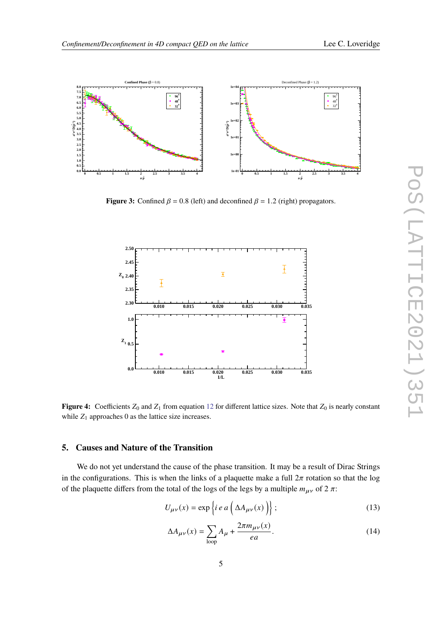<span id="page-4-0"></span>

**Figure 3:** Confined  $\beta = 0.8$  (left) and deconfined  $\beta = 1.2$  (right) propagators.



**Figure 4:** Coefficients  $Z_0$  and  $Z_1$  from equation [12](#page-3-4) for different lattice sizes. Note that  $Z_0$  is nearly constant while  $Z_1$  approaches 0 as the lattice size increases.

## **5. Causes and Nature of the Transition**

We do not yet understand the cause of the phase transition. It may be a result of Dirac Strings in the configurations. This is when the links of a plaquette make a full  $2\pi$  rotation so that the log of the plaquette differs from the total of the logs of the legs by a multiple  $m_{\mu\nu}$  of 2  $\pi$ :

$$
U_{\mu\nu}(x) = \exp\left\{i e a \left(\Delta A_{\mu\nu}(x)\right)\right\};\tag{13}
$$

$$
\Delta A_{\mu\nu}(x) = \sum_{\text{loop}} A_{\mu} + \frac{2\pi m_{\mu\nu}(x)}{ea}.
$$
\n(14)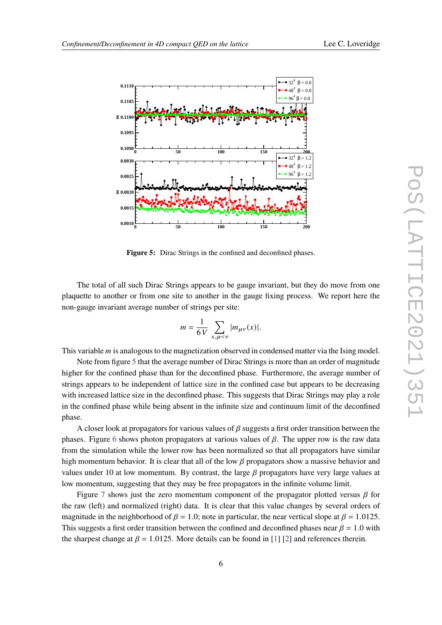<span id="page-5-0"></span>

Figure 5: Dirac Strings in the confined and deconfined phases.

The total of all such Dirac Strings appears to be gauge invariant, but they do move from one plaquette to another or from one site to another in the gauge fixing process. We report here the non-gauge invariant average number of strings per site:

$$
m = \frac{1}{6V} \sum_{x,\mu < \nu} |m_{\mu\nu}(x)|.
$$

This variable  $m$  is analogous to the magnetization observed in condensed matter via the Ising model.

Note from figure [5](#page-5-0) that the average number of Dirac Strings is more than an order of magnitude higher for the confined phase than for the deconfined phase. Furthermore, the average number of strings appears to be independent of lattice size in the confined case but appears to be decreasing with increased lattice size in the deconfined phase. This suggests that Dirac Strings may play a role in the confined phase while being absent in the infinite size and continuum limit of the deconfined phase.

A closer look at propagators for various values of  $\beta$  suggests a first order transition between the phases. Figure [6](#page-6-0) shows photon propagators at various values of  $\beta$ . The upper row is the raw data from the simulation while the lower row has been normalized so that all propagators have similar high momentum behavior. It is clear that all of the low  $\beta$  propagators show a massive behavior and values under 10 at low momentum. By contrast, the large  $\beta$  propagators have very large values at low momentum, suggesting that they may be free propagators in the infinite volume limit.

Figure [7](#page-7-0) shows just the zero momentum component of the propagator plotted versus  $\beta$  for the raw (left) and normalized (right) data. It is clear that this value changes by several orders of magnitude in the neighborhood of  $\beta = 1.0$ ; note in particular, the near vertical slope at  $\beta = 1.0125$ . This suggests a first order transition between the confined and deconfined phases near  $\beta = 1.0$  with the sharpest change at  $\beta = 1.0125$  $\beta = 1.0125$  $\beta = 1.0125$ . More details can be found in [1] [\[2\]](#page-7-2) and references therein.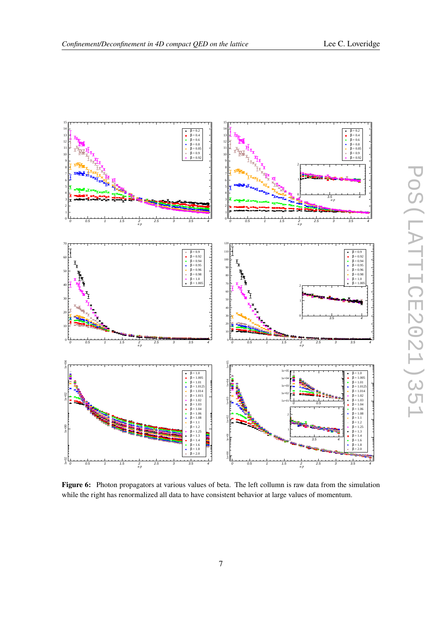

<span id="page-6-0"></span>

**Figure 6:** Photon propagators at various values of beta. The left collumn is raw data from the simulation while the right has renormalized all data to have consistent behavior at large values of momentum.